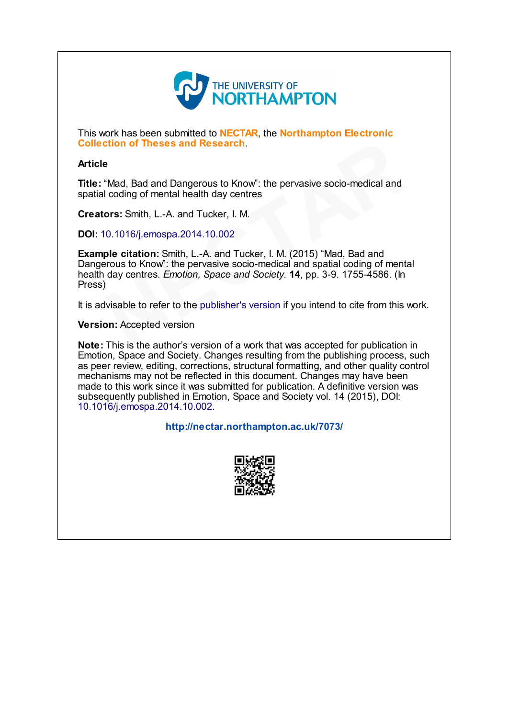

This work has been submitted to **NECTAR**, the Northampton Electronic Collection of Theses and Research.

### Article

Title: "Mad, Bad and Dangerous to Know": the pervasive socio-medical and spatial coding of mental health day centres

Creators: Smith, L.-A. and Tucker, I. M.

DOI: 10.1016/j.emospa.2014.10.002

Example citation: Smith, L.-A. and Tucker, I. M. (2015) "Mad, Bad and Dangerous to Know": the pervasive socio-medical and spatial coding of mental health day centres. Emotion, Space and Society. **14**, pp. 3-9. 1755-4586. (In Press) **e**<br>
"Mad, Bad and Dangerous to Know": the pervasive socio-medical and<br>
"Mad, Bad and Dangerous to Know": the pervasive socio-medical and<br> **ors:** Smith, L.-A. and Tucker, I. M.<br>
0.1016/j.emospa.2014.10.002<br> **ple citation:** 

It is advisable to refer to the publisher's version if you intend to cite from this work.

Version: Accepted version

Note: This is the author's version of a work that was accepted for publication in Emotion, Space and Society. Changes resulting from the publishing process, such as peer review, editing, corrections, structural formatting, and other quality control mechanisms may not be reflected in this document. Changes may have been made to this work since it was submitted for publication. A definitive version was subsequently published in Emotion, Space and Society vol. 14 (2015), DOI: [10.1016/j.emospa.2014.10.002](http://dx.doi.org/10.1016/j.emospa.2014.10.002).

# <http://nectar.northampton.ac.uk/7073/>

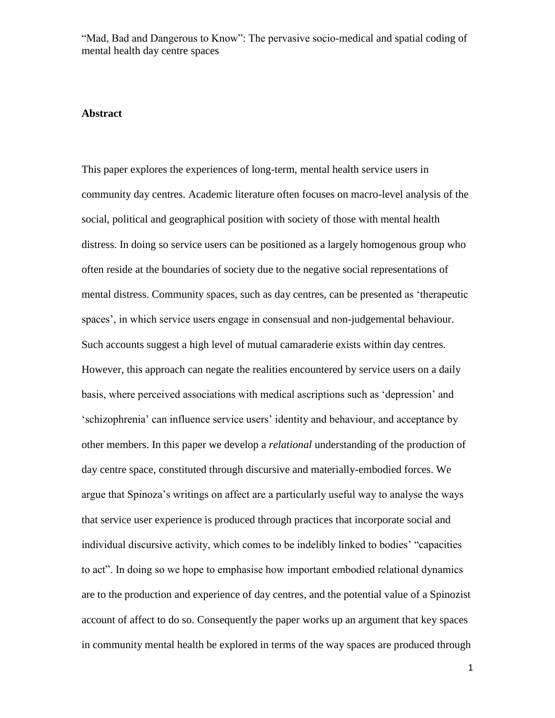#### **Abstract**

This paper explores the experiences of long-term, mental health service users in community day centres. Academic literature often focuses on macro-level analysis of the social, political and geographical position with society of those with mental health distress. In doing so service users can be positioned as a largely homogenous group who often reside at the boundaries of society due to the negative social representations of mental distress. Community spaces, such as day centres, can be presented as 'therapeutic spaces', in which service users engage in consensual and non-judgemental behaviour. Such accounts suggest a high level of mutual camaraderie exists within day centres. However, this approach can negate the realities encountered by service users on a daily basis, where perceived associations with medical ascriptions such as 'depression' and 'schizophrenia' can influence service users' identity and behaviour, and acceptance by other members. In this paper we develop a *relational* understanding of the production of day centre space, constituted through discursive and materially-embodied forces. We argue that Spinoza's writings on affect are a particularly useful way to analyse the ways that service user experience is produced through practices that incorporate social and individual discursive activity, which comes to be indelibly linked to bodies' "capacities to act". In doing so we hope to emphasise how important embodied relational dynamics are to the production and experience of day centres, and the potential value of a Spinozist account of affect to do so. Consequently the paper works up an argument that key spaces in community mental health be explored in terms of the way spaces are produced through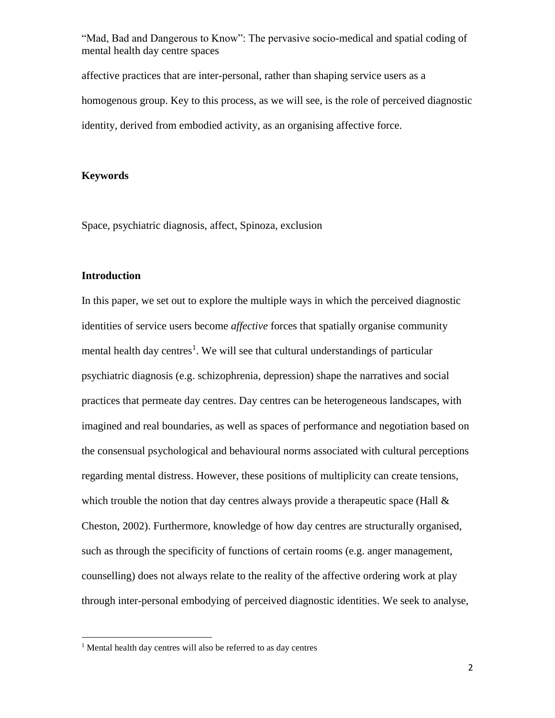affective practices that are inter-personal, rather than shaping service users as a homogenous group. Key to this process, as we will see, is the role of perceived diagnostic identity, derived from embodied activity, as an organising affective force.

### **Keywords**

Space, psychiatric diagnosis, affect, Spinoza, exclusion

### **Introduction**

 $\overline{\phantom{a}}$ 

In this paper, we set out to explore the multiple ways in which the perceived diagnostic identities of service users become *affective* forces that spatially organise community mental health day centres<sup>1</sup>. We will see that cultural understandings of particular psychiatric diagnosis (e.g. schizophrenia, depression) shape the narratives and social practices that permeate day centres. Day centres can be heterogeneous landscapes, with imagined and real boundaries, as well as spaces of performance and negotiation based on the consensual psychological and behavioural norms associated with cultural perceptions regarding mental distress. However, these positions of multiplicity can create tensions, which trouble the notion that day centres always provide a therapeutic space (Hall  $\&$ Cheston, 2002). Furthermore, knowledge of how day centres are structurally organised, such as through the specificity of functions of certain rooms (e.g. anger management, counselling) does not always relate to the reality of the affective ordering work at play through inter-personal embodying of perceived diagnostic identities. We seek to analyse,

<sup>1</sup> Mental health day centres will also be referred to as day centres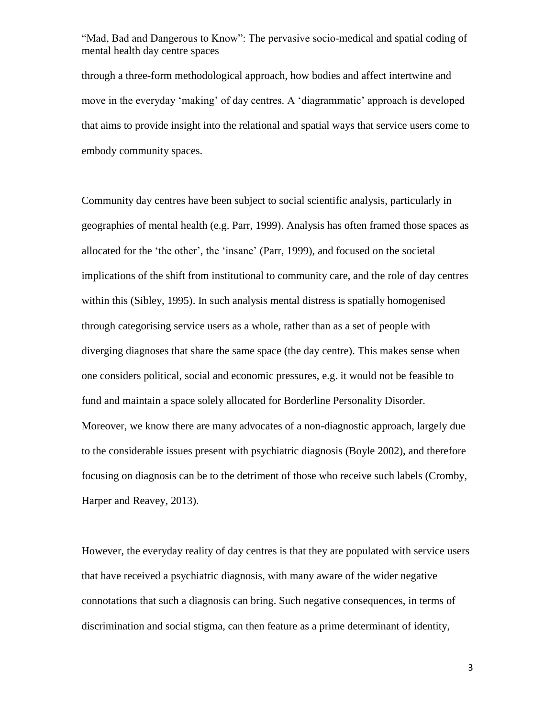through a three-form methodological approach, how bodies and affect intertwine and move in the everyday 'making' of day centres. A 'diagrammatic' approach is developed that aims to provide insight into the relational and spatial ways that service users come to embody community spaces.

Community day centres have been subject to social scientific analysis, particularly in geographies of mental health (e.g. Parr, 1999). Analysis has often framed those spaces as allocated for the 'the other'*,* the 'insane' (Parr, 1999), and focused on the societal implications of the shift from institutional to community care, and the role of day centres within this (Sibley, 1995). In such analysis mental distress is spatially homogenised through categorising service users as a whole, rather than as a set of people with diverging diagnoses that share the same space (the day centre). This makes sense when one considers political, social and economic pressures, e.g. it would not be feasible to fund and maintain a space solely allocated for Borderline Personality Disorder. Moreover, we know there are many advocates of a non-diagnostic approach, largely due to the considerable issues present with psychiatric diagnosis (Boyle 2002), and therefore focusing on diagnosis can be to the detriment of those who receive such labels (Cromby, Harper and Reavey, 2013).

However, the everyday reality of day centres is that they are populated with service users that have received a psychiatric diagnosis, with many aware of the wider negative connotations that such a diagnosis can bring. Such negative consequences, in terms of discrimination and social stigma, can then feature as a prime determinant of identity,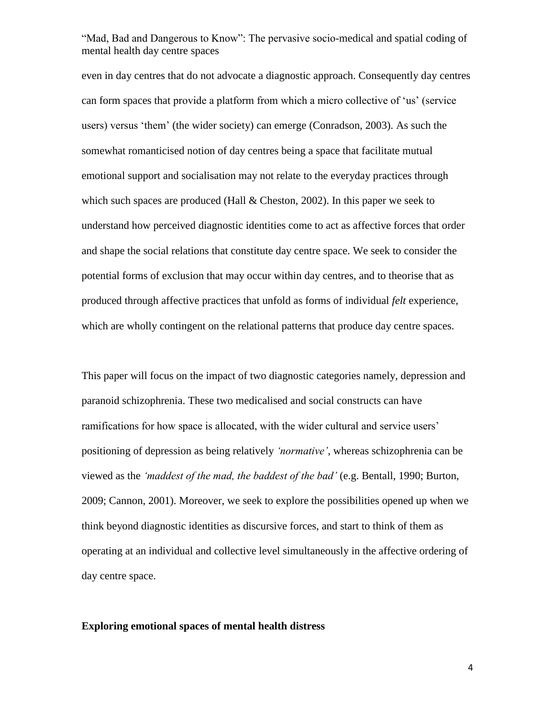even in day centres that do not advocate a diagnostic approach. Consequently day centres can form spaces that provide a platform from which a micro collective of 'us' (service users) versus 'them' (the wider society) can emerge (Conradson, 2003). As such the somewhat romanticised notion of day centres being a space that facilitate mutual emotional support and socialisation may not relate to the everyday practices through which such spaces are produced (Hall  $&$  Cheston, 2002). In this paper we seek to understand how perceived diagnostic identities come to act as affective forces that order and shape the social relations that constitute day centre space. We seek to consider the potential forms of exclusion that may occur within day centres, and to theorise that as produced through affective practices that unfold as forms of individual *felt* experience, which are wholly contingent on the relational patterns that produce day centre spaces.

This paper will focus on the impact of two diagnostic categories namely, depression and paranoid schizophrenia. These two medicalised and social constructs can have ramifications for how space is allocated, with the wider cultural and service users' positioning of depression as being relatively *'normative'*, whereas schizophrenia can be viewed as the *'maddest of the mad, the baddest of the bad'* (e.g. Bentall, 1990; Burton, 2009; Cannon, 2001). Moreover, we seek to explore the possibilities opened up when we think beyond diagnostic identities as discursive forces, and start to think of them as operating at an individual and collective level simultaneously in the affective ordering of day centre space.

#### **Exploring emotional spaces of mental health distress**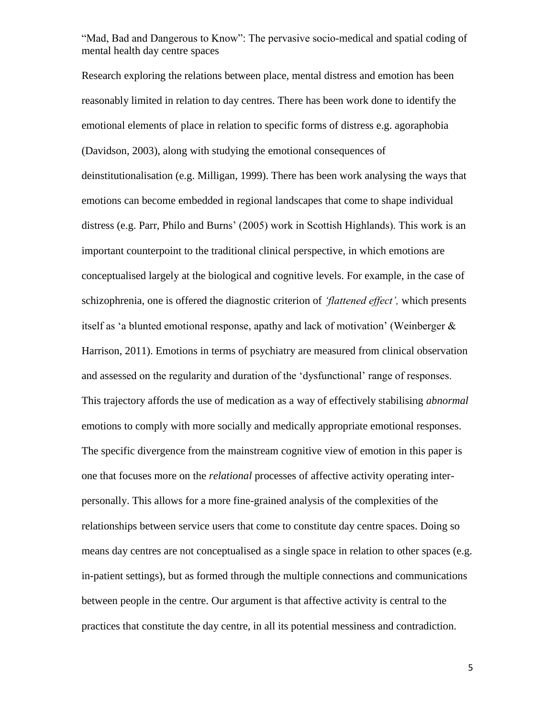Research exploring the relations between place, mental distress and emotion has been reasonably limited in relation to day centres. There has been work done to identify the emotional elements of place in relation to specific forms of distress e.g. agoraphobia (Davidson, 2003), along with studying the emotional consequences of deinstitutionalisation (e.g. Milligan, 1999). There has been work analysing the ways that emotions can become embedded in regional landscapes that come to shape individual distress (e.g. Parr, Philo and Burns' (2005) work in Scottish Highlands). This work is an important counterpoint to the traditional clinical perspective, in which emotions are conceptualised largely at the biological and cognitive levels. For example, in the case of schizophrenia, one is offered the diagnostic criterion of *'flattened effect',* which presents itself as 'a blunted emotional response, apathy and lack of motivation' (Weinberger  $\&$ Harrison, 2011). Emotions in terms of psychiatry are measured from clinical observation and assessed on the regularity and duration of the 'dysfunctional' range of responses. This trajectory affords the use of medication as a way of effectively stabilising *abnormal*  emotions to comply with more socially and medically appropriate emotional responses. The specific divergence from the mainstream cognitive view of emotion in this paper is one that focuses more on the *relational* processes of affective activity operating interpersonally. This allows for a more fine-grained analysis of the complexities of the relationships between service users that come to constitute day centre spaces. Doing so means day centres are not conceptualised as a single space in relation to other spaces (e.g. in-patient settings), but as formed through the multiple connections and communications between people in the centre. Our argument is that affective activity is central to the practices that constitute the day centre, in all its potential messiness and contradiction.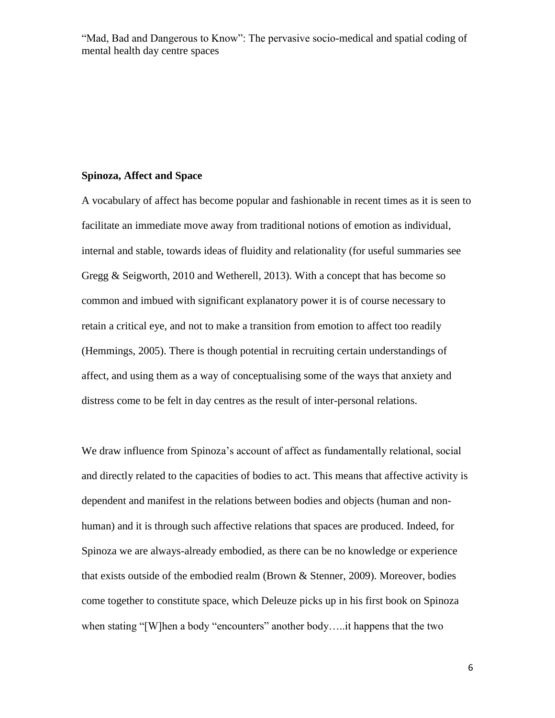#### **Spinoza, Affect and Space**

A vocabulary of affect has become popular and fashionable in recent times as it is seen to facilitate an immediate move away from traditional notions of emotion as individual, internal and stable, towards ideas of fluidity and relationality (for useful summaries see Gregg & Seigworth, 2010 and Wetherell, 2013). With a concept that has become so common and imbued with significant explanatory power it is of course necessary to retain a critical eye, and not to make a transition from emotion to affect too readily (Hemmings, 2005). There is though potential in recruiting certain understandings of affect, and using them as a way of conceptualising some of the ways that anxiety and distress come to be felt in day centres as the result of inter-personal relations.

We draw influence from Spinoza's account of affect as fundamentally relational, social and directly related to the capacities of bodies to act. This means that affective activity is dependent and manifest in the relations between bodies and objects (human and nonhuman) and it is through such affective relations that spaces are produced. Indeed, for Spinoza we are always-already embodied, as there can be no knowledge or experience that exists outside of the embodied realm (Brown & Stenner, 2009). Moreover, bodies come together to constitute space, which Deleuze picks up in his first book on Spinoza when stating "[W]hen a body "encounters" another body.....it happens that the two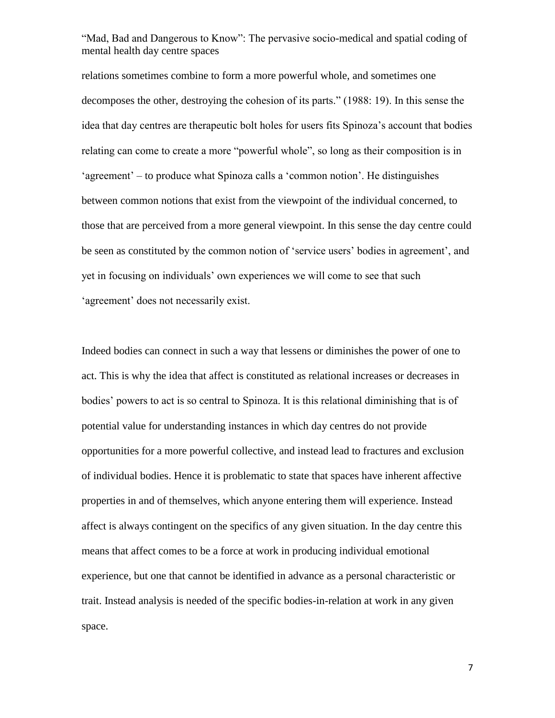relations sometimes combine to form a more powerful whole, and sometimes one decomposes the other, destroying the cohesion of its parts." (1988: 19). In this sense the idea that day centres are therapeutic bolt holes for users fits Spinoza's account that bodies relating can come to create a more "powerful whole", so long as their composition is in 'agreement' – to produce what Spinoza calls a 'common notion'. He distinguishes between common notions that exist from the viewpoint of the individual concerned, to those that are perceived from a more general viewpoint. In this sense the day centre could be seen as constituted by the common notion of 'service users' bodies in agreement', and yet in focusing on individuals' own experiences we will come to see that such 'agreement' does not necessarily exist.

Indeed bodies can connect in such a way that lessens or diminishes the power of one to act. This is why the idea that affect is constituted as relational increases or decreases in bodies' powers to act is so central to Spinoza. It is this relational diminishing that is of potential value for understanding instances in which day centres do not provide opportunities for a more powerful collective, and instead lead to fractures and exclusion of individual bodies. Hence it is problematic to state that spaces have inherent affective properties in and of themselves, which anyone entering them will experience. Instead affect is always contingent on the specifics of any given situation. In the day centre this means that affect comes to be a force at work in producing individual emotional experience, but one that cannot be identified in advance as a personal characteristic or trait. Instead analysis is needed of the specific bodies-in-relation at work in any given space.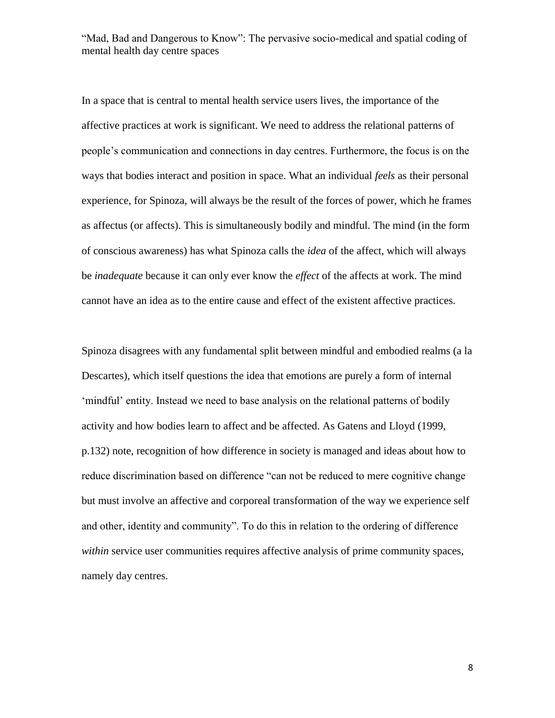In a space that is central to mental health service users lives, the importance of the affective practices at work is significant. We need to address the relational patterns of people's communication and connections in day centres. Furthermore, the focus is on the ways that bodies interact and position in space. What an individual *feels* as their personal experience, for Spinoza, will always be the result of the forces of power, which he frames as affectus (or affects). This is simultaneously bodily and mindful. The mind (in the form of conscious awareness) has what Spinoza calls the *idea* of the affect, which will always be *inadequate* because it can only ever know the *effect* of the affects at work. The mind cannot have an idea as to the entire cause and effect of the existent affective practices.

Spinoza disagrees with any fundamental split between mindful and embodied realms (a la Descartes), which itself questions the idea that emotions are purely a form of internal 'mindful' entity. Instead we need to base analysis on the relational patterns of bodily activity and how bodies learn to affect and be affected. As Gatens and Lloyd (1999, p.132) note, recognition of how difference in society is managed and ideas about how to reduce discrimination based on difference "can not be reduced to mere cognitive change but must involve an affective and corporeal transformation of the way we experience self and other, identity and community". To do this in relation to the ordering of difference *within* service user communities requires affective analysis of prime community spaces, namely day centres.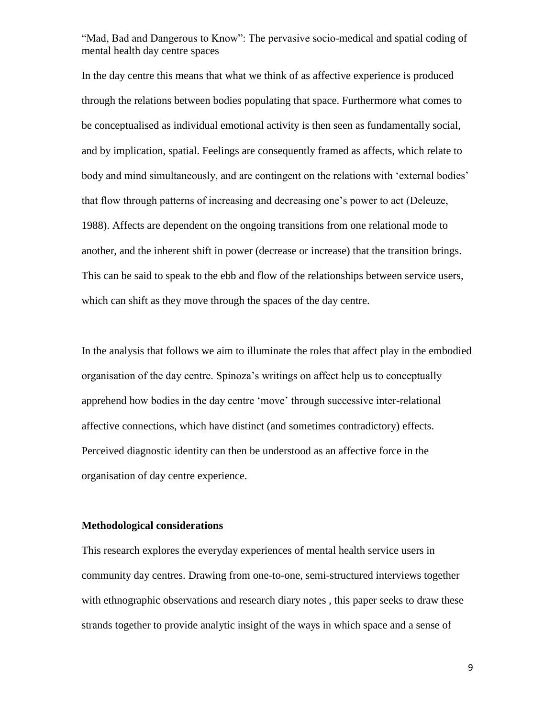In the day centre this means that what we think of as affective experience is produced through the relations between bodies populating that space. Furthermore what comes to be conceptualised as individual emotional activity is then seen as fundamentally social, and by implication, spatial. Feelings are consequently framed as affects, which relate to body and mind simultaneously, and are contingent on the relations with 'external bodies' that flow through patterns of increasing and decreasing one's power to act (Deleuze, 1988). Affects are dependent on the ongoing transitions from one relational mode to another, and the inherent shift in power (decrease or increase) that the transition brings. This can be said to speak to the ebb and flow of the relationships between service users, which can shift as they move through the spaces of the day centre.

In the analysis that follows we aim to illuminate the roles that affect play in the embodied organisation of the day centre. Spinoza's writings on affect help us to conceptually apprehend how bodies in the day centre 'move' through successive inter-relational affective connections, which have distinct (and sometimes contradictory) effects. Perceived diagnostic identity can then be understood as an affective force in the organisation of day centre experience.

#### **Methodological considerations**

This research explores the everyday experiences of mental health service users in community day centres. Drawing from one-to-one, semi-structured interviews together with ethnographic observations and research diary notes , this paper seeks to draw these strands together to provide analytic insight of the ways in which space and a sense of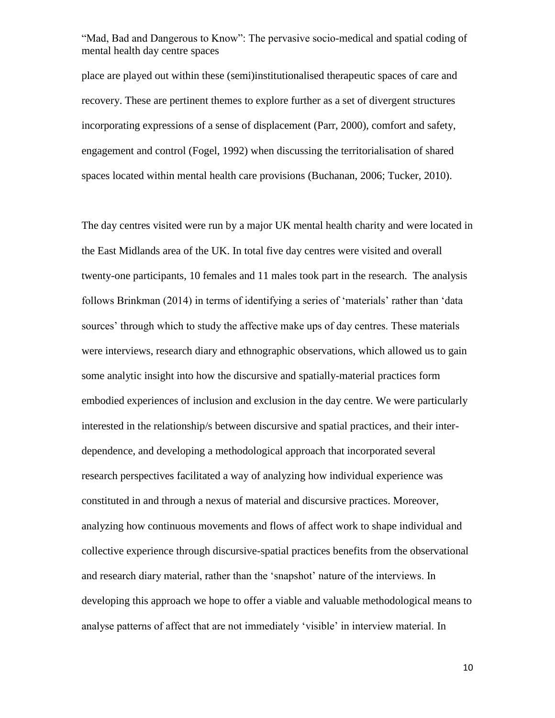place are played out within these (semi)institutionalised therapeutic spaces of care and recovery. These are pertinent themes to explore further as a set of divergent structures incorporating expressions of a sense of displacement (Parr, 2000), comfort and safety, engagement and control (Fogel, 1992) when discussing the territorialisation of shared spaces located within mental health care provisions (Buchanan, 2006; Tucker, 2010).

The day centres visited were run by a major UK mental health charity and were located in the East Midlands area of the UK. In total five day centres were visited and overall twenty-one participants, 10 females and 11 males took part in the research. The analysis follows Brinkman (2014) in terms of identifying a series of 'materials' rather than 'data sources' through which to study the affective make ups of day centres. These materials were interviews, research diary and ethnographic observations, which allowed us to gain some analytic insight into how the discursive and spatially-material practices form embodied experiences of inclusion and exclusion in the day centre. We were particularly interested in the relationship/s between discursive and spatial practices, and their interdependence, and developing a methodological approach that incorporated several research perspectives facilitated a way of analyzing how individual experience was constituted in and through a nexus of material and discursive practices. Moreover, analyzing how continuous movements and flows of affect work to shape individual and collective experience through discursive-spatial practices benefits from the observational and research diary material, rather than the 'snapshot' nature of the interviews. In developing this approach we hope to offer a viable and valuable methodological means to analyse patterns of affect that are not immediately 'visible' in interview material. In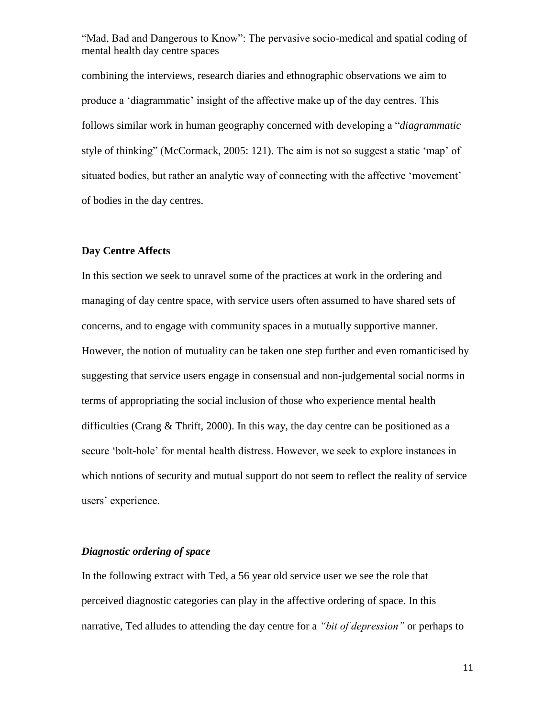combining the interviews, research diaries and ethnographic observations we aim to produce a 'diagrammatic' insight of the affective make up of the day centres. This follows similar work in human geography concerned with developing a "*diagrammatic*  style of thinking" (McCormack, 2005: 121). The aim is not so suggest a static 'map' of situated bodies, but rather an analytic way of connecting with the affective 'movement' of bodies in the day centres.

### **Day Centre Affects**

In this section we seek to unravel some of the practices at work in the ordering and managing of day centre space, with service users often assumed to have shared sets of concerns, and to engage with community spaces in a mutually supportive manner. However, the notion of mutuality can be taken one step further and even romanticised by suggesting that service users engage in consensual and non-judgemental social norms in terms of appropriating the social inclusion of those who experience mental health difficulties (Crang & Thrift, 2000). In this way, the day centre can be positioned as a secure 'bolt-hole' for mental health distress. However, we seek to explore instances in which notions of security and mutual support do not seem to reflect the reality of service users' experience.

## *Diagnostic ordering of space*

In the following extract with Ted, a 56 year old service user we see the role that perceived diagnostic categories can play in the affective ordering of space. In this narrative, Ted alludes to attending the day centre for a *"bit of depression"* or perhaps to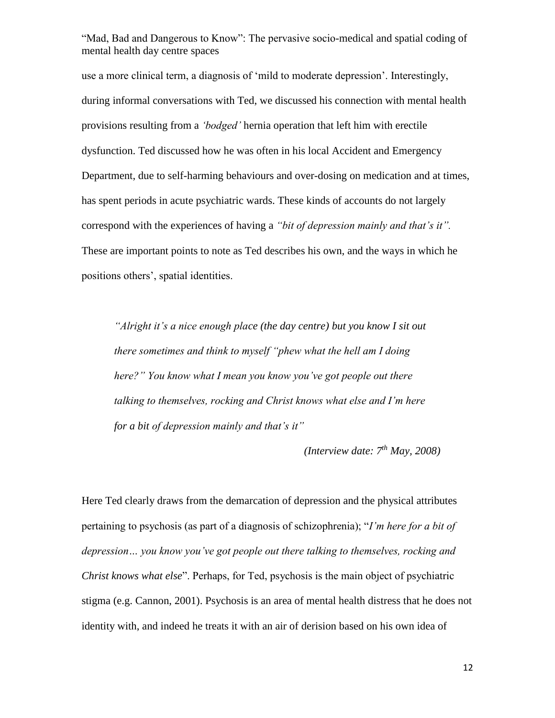use a more clinical term, a diagnosis of 'mild to moderate depression'. Interestingly, during informal conversations with Ted, we discussed his connection with mental health provisions resulting from a *'bodged'* hernia operation that left him with erectile dysfunction. Ted discussed how he was often in his local Accident and Emergency Department, due to self-harming behaviours and over-dosing on medication and at times, has spent periods in acute psychiatric wards. These kinds of accounts do not largely correspond with the experiences of having a *"bit of depression mainly and that's it".*  These are important points to note as Ted describes his own, and the ways in which he positions others', spatial identities.

*"Alright it's a nice enough place (the day centre) but you know I sit out there sometimes and think to myself "phew what the hell am I doing here?" You know what I mean you know you've got people out there talking to themselves, rocking and Christ knows what else and I'm here for a bit of depression mainly and that's it"*

*(Interview date: 7th May, 2008)*

Here Ted clearly draws from the demarcation of depression and the physical attributes pertaining to psychosis (as part of a diagnosis of schizophrenia); "*I'm here for a bit of depression… you know you've got people out there talking to themselves, rocking and Christ knows what else*". Perhaps, for Ted, psychosis is the main object of psychiatric stigma (e.g. Cannon, 2001). Psychosis is an area of mental health distress that he does not identity with, and indeed he treats it with an air of derision based on his own idea of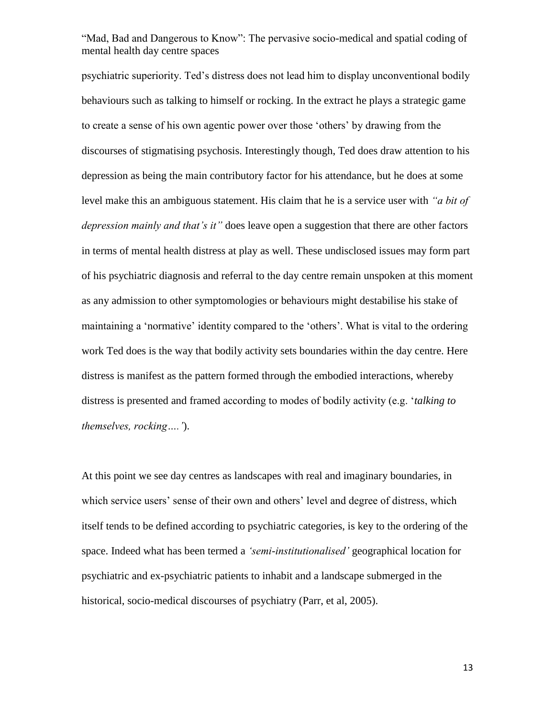psychiatric superiority. Ted's distress does not lead him to display unconventional bodily behaviours such as talking to himself or rocking. In the extract he plays a strategic game to create a sense of his own agentic power over those 'others' by drawing from the discourses of stigmatising psychosis. Interestingly though, Ted does draw attention to his depression as being the main contributory factor for his attendance, but he does at some level make this an ambiguous statement. His claim that he is a service user with *"a bit of depression mainly and that's it"* does leave open a suggestion that there are other factors in terms of mental health distress at play as well. These undisclosed issues may form part of his psychiatric diagnosis and referral to the day centre remain unspoken at this moment as any admission to other symptomologies or behaviours might destabilise his stake of maintaining a 'normative' identity compared to the 'others'. What is vital to the ordering work Ted does is the way that bodily activity sets boundaries within the day centre. Here distress is manifest as the pattern formed through the embodied interactions, whereby distress is presented and framed according to modes of bodily activity (e.g. '*talking to themselves, rocking….'*).

At this point we see day centres as landscapes with real and imaginary boundaries, in which service users' sense of their own and others' level and degree of distress, which itself tends to be defined according to psychiatric categories, is key to the ordering of the space. Indeed what has been termed a *'semi-institutionalised'* geographical location for psychiatric and ex-psychiatric patients to inhabit and a landscape submerged in the historical, socio-medical discourses of psychiatry [\(Parr, et al, 2005\)](#page-28-0).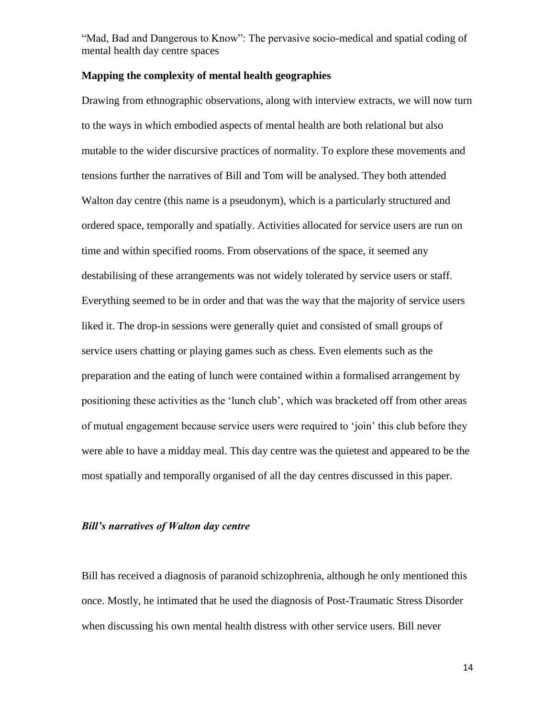### **Mapping the complexity of mental health geographies**

Drawing from ethnographic observations, along with interview extracts, we will now turn to the ways in which embodied aspects of mental health are both relational but also mutable to the wider discursive practices of normality. To explore these movements and tensions further the narratives of Bill and Tom will be analysed. They both attended Walton day centre (this name is a pseudonym), which is a particularly structured and ordered space, temporally and spatially. Activities allocated for service users are run on time and within specified rooms. From observations of the space, it seemed any destabilising of these arrangements was not widely tolerated by service users or staff. Everything seemed to be in order and that was the way that the majority of service users liked it. The drop-in sessions were generally quiet and consisted of small groups of service users chatting or playing games such as chess. Even elements such as the preparation and the eating of lunch were contained within a formalised arrangement by positioning these activities as the 'lunch club', which was bracketed off from other areas of mutual engagement because service users were required to 'join' this club before they were able to have a midday meal. This day centre was the quietest and appeared to be the most spatially and temporally organised of all the day centres discussed in this paper.

### *Bill's narratives of Walton day centre*

Bill has received a diagnosis of paranoid schizophrenia, although he only mentioned this once. Mostly, he intimated that he used the diagnosis of Post-Traumatic Stress Disorder when discussing his own mental health distress with other service users. Bill never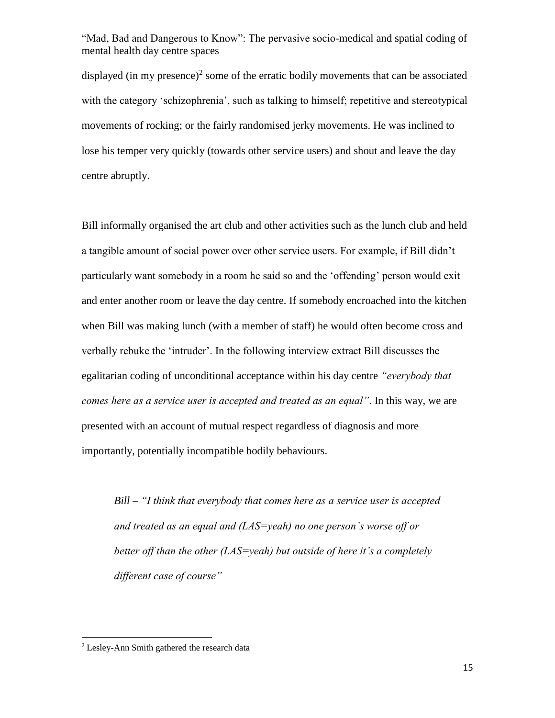displayed (in my presence)<sup>2</sup> some of the erratic bodily movements that can be associated with the category 'schizophrenia', such as talking to himself; repetitive and stereotypical movements of rocking; or the fairly randomised jerky movements. He was inclined to lose his temper very quickly (towards other service users) and shout and leave the day centre abruptly.

Bill informally organised the art club and other activities such as the lunch club and held a tangible amount of social power over other service users. For example, if Bill didn't particularly want somebody in a room he said so and the 'offending' person would exit and enter another room or leave the day centre. If somebody encroached into the kitchen when Bill was making lunch (with a member of staff) he would often become cross and verbally rebuke the 'intruder'. In the following interview extract Bill discusses the egalitarian coding of unconditional acceptance within his day centre *"everybody that comes here as a service user is accepted and treated as an equal"*. In this way, we are presented with an account of mutual respect regardless of diagnosis and more importantly, potentially incompatible bodily behaviours.

*Bill – "I think that everybody that comes here as a service user is accepted and treated as an equal and (LAS=yeah) no one person's worse off or better off than the other (LAS=yeah) but outside of here it's a completely different case of course"*

 $\overline{\phantom{a}}$ 

 $2$  Lesley-Ann Smith gathered the research data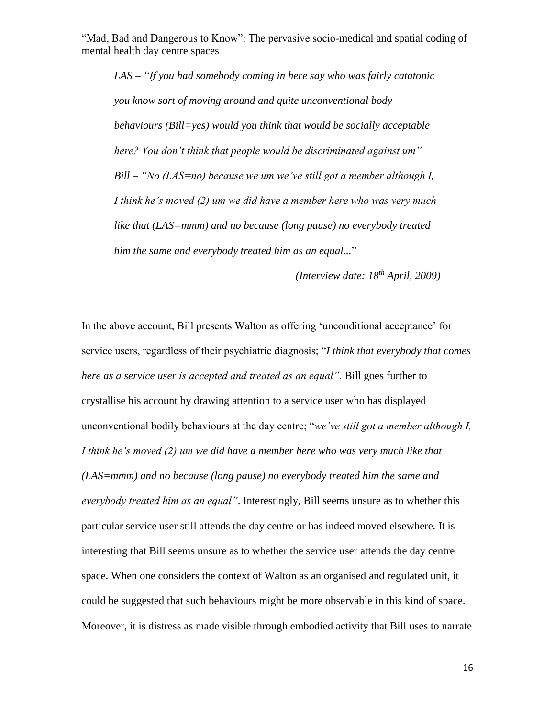*LAS – "If you had somebody coming in here say who was fairly catatonic you know sort of moving around and quite unconventional body behaviours (Bill=yes) would you think that would be socially acceptable here? You don't think that people would be discriminated against um" Bill – "No (LAS=no) because we um we've still got a member although I, I think he's moved (2) um we did have a member here who was very much like that (LAS=mmm) and no because (long pause) no everybody treated him the same and everybody treated him as an equal...*"

*(Interview date: 18th April, 2009)*

In the above account, Bill presents Walton as offering 'unconditional acceptance' for service users, regardless of their psychiatric diagnosis; "*I think that everybody that comes here as a service user is accepted and treated as an equal".* Bill goes further to crystallise his account by drawing attention to a service user who has displayed unconventional bodily behaviours at the day centre; "*we've still got a member although I, I think he's moved (2) um we did have a member here who was very much like that (LAS=mmm) and no because (long pause) no everybody treated him the same and everybody treated him as an equal"*. Interestingly, Bill seems unsure as to whether this particular service user still attends the day centre or has indeed moved elsewhere. It is interesting that Bill seems unsure as to whether the service user attends the day centre space. When one considers the context of Walton as an organised and regulated unit, it could be suggested that such behaviours might be more observable in this kind of space. Moreover, it is distress as made visible through embodied activity that Bill uses to narrate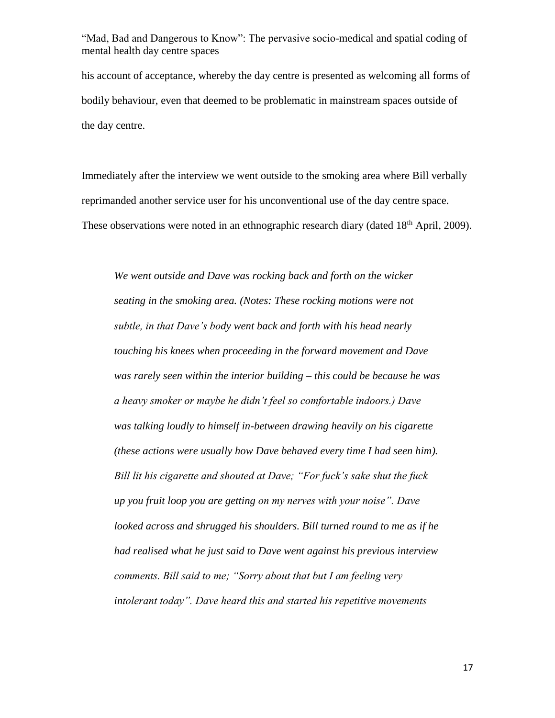his account of acceptance, whereby the day centre is presented as welcoming all forms of bodily behaviour, even that deemed to be problematic in mainstream spaces outside of the day centre.

Immediately after the interview we went outside to the smoking area where Bill verbally reprimanded another service user for his unconventional use of the day centre space. These observations were noted in an ethnographic research diary (dated 18<sup>th</sup> April, 2009).

*We went outside and Dave was rocking back and forth on the wicker seating in the smoking area. (Notes: These rocking motions were not subtle, in that Dave's body went back and forth with his head nearly touching his knees when proceeding in the forward movement and Dave was rarely seen within the interior building – this could be because he was a heavy smoker or maybe he didn't feel so comfortable indoors.) Dave was talking loudly to himself in-between drawing heavily on his cigarette (these actions were usually how Dave behaved every time I had seen him). Bill lit his cigarette and shouted at Dave; "For fuck's sake shut the fuck up you fruit loop you are getting on my nerves with your noise". Dave looked across and shrugged his shoulders. Bill turned round to me as if he had realised what he just said to Dave went against his previous interview comments. Bill said to me; "Sorry about that but I am feeling very intolerant today". Dave heard this and started his repetitive movements*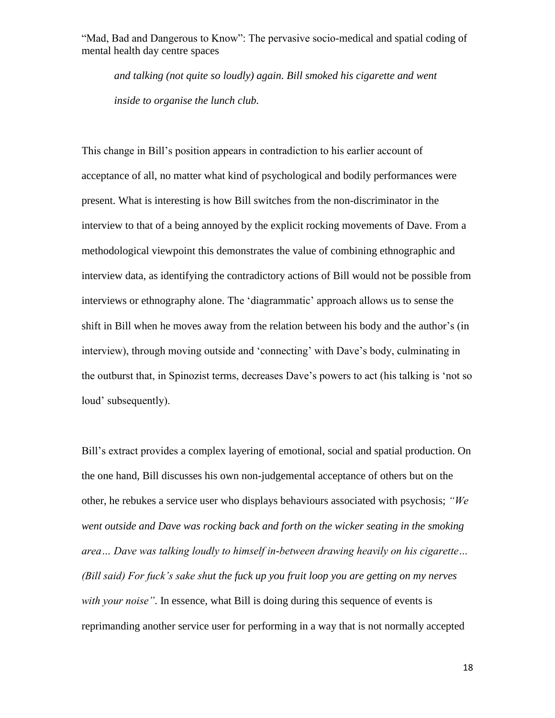*and talking (not quite so loudly) again. Bill smoked his cigarette and went inside to organise the lunch club.*

This change in Bill's position appears in contradiction to his earlier account of acceptance of all, no matter what kind of psychological and bodily performances were present. What is interesting is how Bill switches from the non-discriminator in the interview to that of a being annoyed by the explicit rocking movements of Dave. From a methodological viewpoint this demonstrates the value of combining ethnographic and interview data, as identifying the contradictory actions of Bill would not be possible from interviews or ethnography alone. The 'diagrammatic' approach allows us to sense the shift in Bill when he moves away from the relation between his body and the author's (in interview), through moving outside and 'connecting' with Dave's body, culminating in the outburst that, in Spinozist terms, decreases Dave's powers to act (his talking is 'not so loud' subsequently).

Bill's extract provides a complex layering of emotional, social and spatial production. On the one hand, Bill discusses his own non-judgemental acceptance of others but on the other, he rebukes a service user who displays behaviours associated with psychosis; *"We went outside and Dave was rocking back and forth on the wicker seating in the smoking area… Dave was talking loudly to himself in-between drawing heavily on his cigarette… (Bill said) For fuck's sake shut the fuck up you fruit loop you are getting on my nerves with your noise"*. In essence, what Bill is doing during this sequence of events is reprimanding another service user for performing in a way that is not normally accepted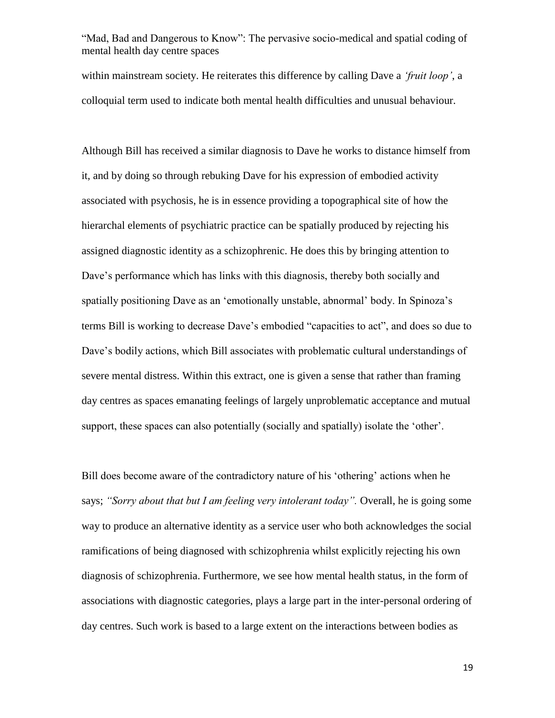within mainstream society. He reiterates this difference by calling Dave a *'fruit loop'*, a colloquial term used to indicate both mental health difficulties and unusual behaviour.

Although Bill has received a similar diagnosis to Dave he works to distance himself from it, and by doing so through rebuking Dave for his expression of embodied activity associated with psychosis, he is in essence providing a topographical site of how the hierarchal elements of psychiatric practice can be spatially produced by rejecting his assigned diagnostic identity as a schizophrenic. He does this by bringing attention to Dave's performance which has links with this diagnosis, thereby both socially and spatially positioning Dave as an 'emotionally unstable, abnormal' body. In Spinoza's terms Bill is working to decrease Dave's embodied "capacities to act", and does so due to Dave's bodily actions, which Bill associates with problematic cultural understandings of severe mental distress. Within this extract, one is given a sense that rather than framing day centres as spaces emanating feelings of largely unproblematic acceptance and mutual support, these spaces can also potentially (socially and spatially) isolate the 'other'.

Bill does become aware of the contradictory nature of his 'othering' actions when he says; *"Sorry about that but I am feeling very intolerant today".* Overall, he is going some way to produce an alternative identity as a service user who both acknowledges the social ramifications of being diagnosed with schizophrenia whilst explicitly rejecting his own diagnosis of schizophrenia. Furthermore, we see how mental health status, in the form of associations with diagnostic categories, plays a large part in the inter-personal ordering of day centres. Such work is based to a large extent on the interactions between bodies as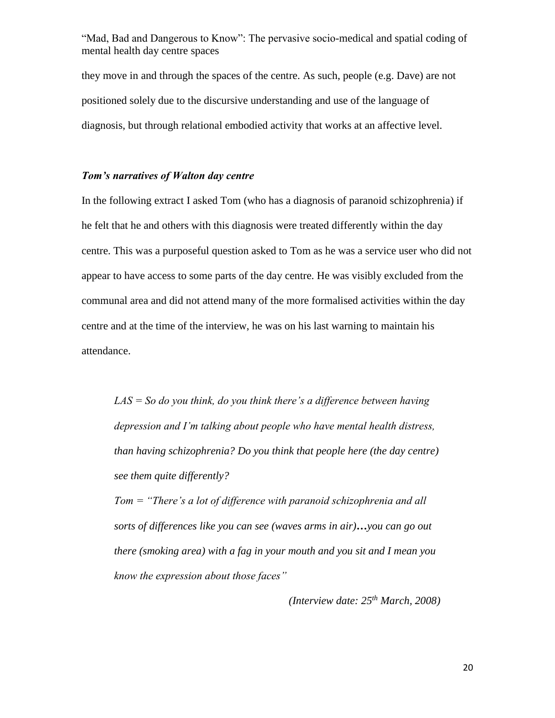they move in and through the spaces of the centre. As such, people (e.g. Dave) are not positioned solely due to the discursive understanding and use of the language of diagnosis, but through relational embodied activity that works at an affective level.

### *Tom's narratives of Walton day centre*

In the following extract I asked Tom (who has a diagnosis of paranoid schizophrenia) if he felt that he and others with this diagnosis were treated differently within the day centre. This was a purposeful question asked to Tom as he was a service user who did not appear to have access to some parts of the day centre. He was visibly excluded from the communal area and did not attend many of the more formalised activities within the day centre and at the time of the interview, he was on his last warning to maintain his attendance.

*LAS = So do you think, do you think there's a difference between having depression and I'm talking about people who have mental health distress, than having schizophrenia? Do you think that people here (the day centre) see them quite differently?*

*Tom = "There's a lot of difference with paranoid schizophrenia and all sorts of differences like you can see (waves arms in air)…you can go out there (smoking area) with a fag in your mouth and you sit and I mean you know the expression about those faces"* 

*(Interview date: 25th March, 2008)*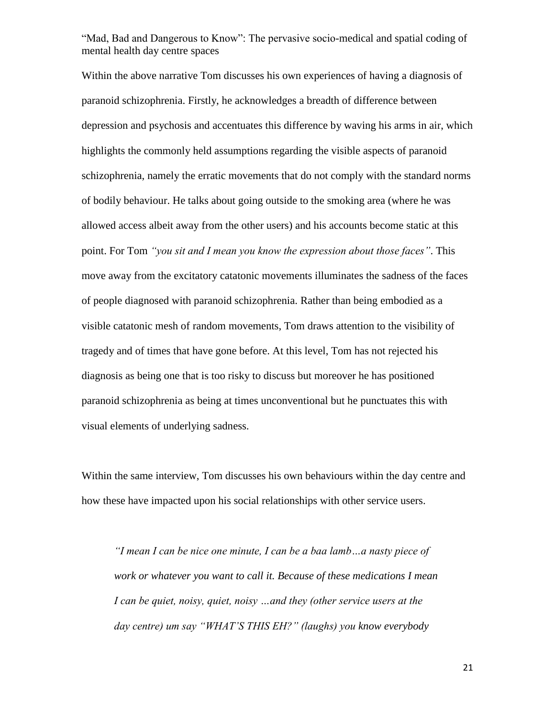Within the above narrative Tom discusses his own experiences of having a diagnosis of paranoid schizophrenia. Firstly, he acknowledges a breadth of difference between depression and psychosis and accentuates this difference by waving his arms in air, which highlights the commonly held assumptions regarding the visible aspects of paranoid schizophrenia, namely the erratic movements that do not comply with the standard norms of bodily behaviour. He talks about going outside to the smoking area (where he was allowed access albeit away from the other users) and his accounts become static at this point. For Tom *"you sit and I mean you know the expression about those faces"*. This move away from the excitatory catatonic movements illuminates the sadness of the faces of people diagnosed with paranoid schizophrenia. Rather than being embodied as a visible catatonic mesh of random movements, Tom draws attention to the visibility of tragedy and of times that have gone before. At this level, Tom has not rejected his diagnosis as being one that is too risky to discuss but moreover he has positioned paranoid schizophrenia as being at times unconventional but he punctuates this with visual elements of underlying sadness.

Within the same interview, Tom discusses his own behaviours within the day centre and how these have impacted upon his social relationships with other service users.

*"I mean I can be nice one minute, I can be a baa lamb…a nasty piece of work or whatever you want to call it. Because of these medications I mean I can be quiet, noisy, quiet, noisy …and they (other service users at the day centre) um say "WHAT'S THIS EH?" (laughs) you know everybody*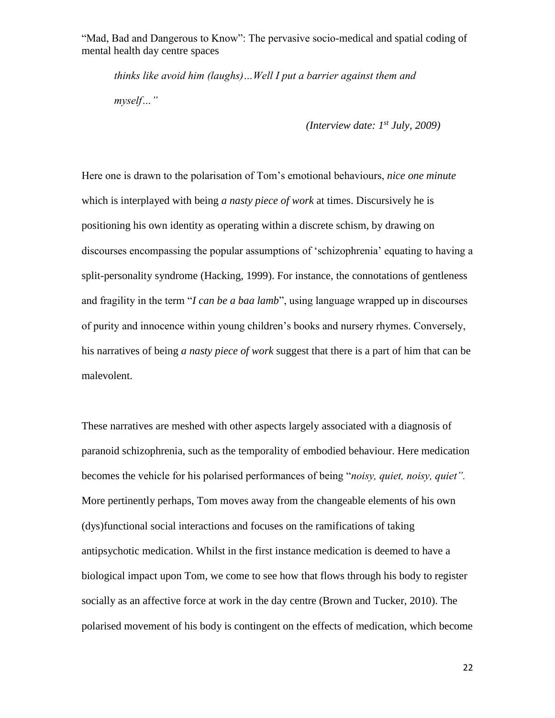*thinks like avoid him (laughs)…Well I put a barrier against them and myself…"*

*(Interview date: 1st July, 2009)*

Here one is drawn to the polarisation of Tom's emotional behaviours, *nice one minute* which is interplayed with being *a nasty piece of work* at times. Discursively he is positioning his own identity as operating within a discrete schism, by drawing on discourses encompassing the popular assumptions of 'schizophrenia' equating to having a split-personality syndrome (Hacking, 1999). For instance, the connotations of gentleness and fragility in the term "*I can be a baa lamb*", using language wrapped up in discourses of purity and innocence within young children's books and nursery rhymes. Conversely, his narratives of being *a nasty piece of work* suggest that there is a part of him that can be malevolent.

These narratives are meshed with other aspects largely associated with a diagnosis of paranoid schizophrenia, such as the temporality of embodied behaviour. Here medication becomes the vehicle for his polarised performances of being "*noisy, quiet, noisy, quiet".*  More pertinently perhaps, Tom moves away from the changeable elements of his own (dys)functional social interactions and focuses on the ramifications of taking antipsychotic medication. Whilst in the first instance medication is deemed to have a biological impact upon Tom, we come to see how that flows through his body to register socially as an affective force at work in the day centre (Brown and Tucker, 2010). The polarised movement of his body is contingent on the effects of medication, which become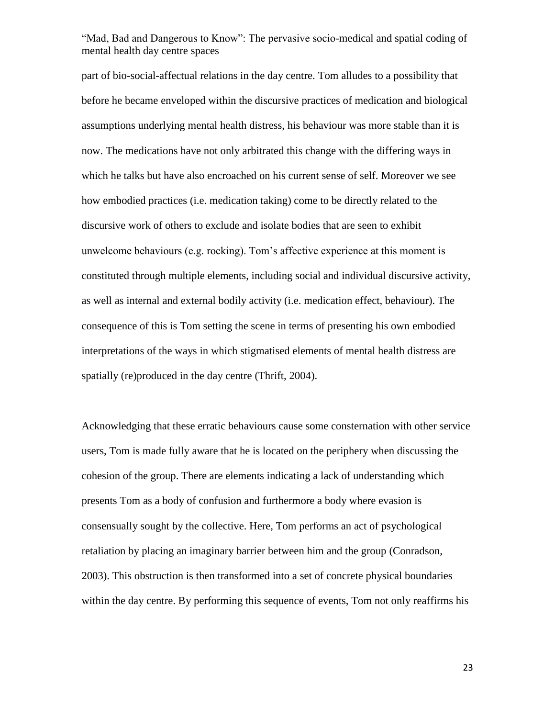part of bio-social-affectual relations in the day centre. Tom alludes to a possibility that before he became enveloped within the discursive practices of medication and biological assumptions underlying mental health distress, his behaviour was more stable than it is now. The medications have not only arbitrated this change with the differing ways in which he talks but have also encroached on his current sense of self. Moreover we see how embodied practices (i.e. medication taking) come to be directly related to the discursive work of others to exclude and isolate bodies that are seen to exhibit unwelcome behaviours (e.g. rocking). Tom's affective experience at this moment is constituted through multiple elements, including social and individual discursive activity, as well as internal and external bodily activity (i.e. medication effect, behaviour). The consequence of this is Tom setting the scene in terms of presenting his own embodied interpretations of the ways in which stigmatised elements of mental health distress are spatially (re)produced in the day centre (Thrift, 2004).

Acknowledging that these erratic behaviours cause some consternation with other service users, Tom is made fully aware that he is located on the periphery when discussing the cohesion of the group. There are elements indicating a lack of understanding which presents Tom as a body of confusion and furthermore a body where evasion is consensually sought by the collective. Here, Tom performs an act of psychological retaliation by placing an imaginary barrier between him and the group (Conradson, 2003). This obstruction is then transformed into a set of concrete physical boundaries within the day centre. By performing this sequence of events, Tom not only reaffirms his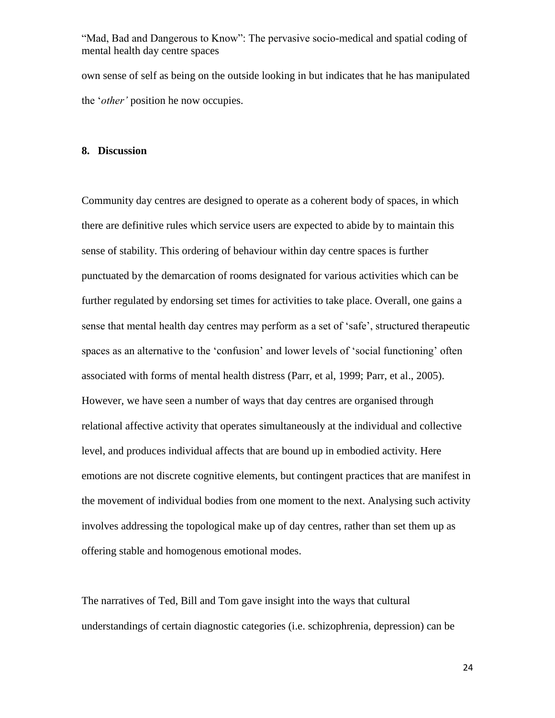own sense of self as being on the outside looking in but indicates that he has manipulated the '*other'* position he now occupies.

#### **8. Discussion**

Community day centres are designed to operate as a coherent body of spaces, in which there are definitive rules which service users are expected to abide by to maintain this sense of stability. This ordering of behaviour within day centre spaces is further punctuated by the demarcation of rooms designated for various activities which can be further regulated by endorsing set times for activities to take place. Overall, one gains a sense that mental health day centres may perform as a set of 'safe', structured therapeutic spaces as an alternative to the 'confusion' and lower levels of 'social functioning' often associated with forms of mental health distress (Parr, et al, 1999; Parr, et al., 2005). However, we have seen a number of ways that day centres are organised through relational affective activity that operates simultaneously at the individual and collective level, and produces individual affects that are bound up in embodied activity. Here emotions are not discrete cognitive elements, but contingent practices that are manifest in the movement of individual bodies from one moment to the next. Analysing such activity involves addressing the topological make up of day centres, rather than set them up as offering stable and homogenous emotional modes.

The narratives of Ted, Bill and Tom gave insight into the ways that cultural understandings of certain diagnostic categories (i.e. schizophrenia, depression) can be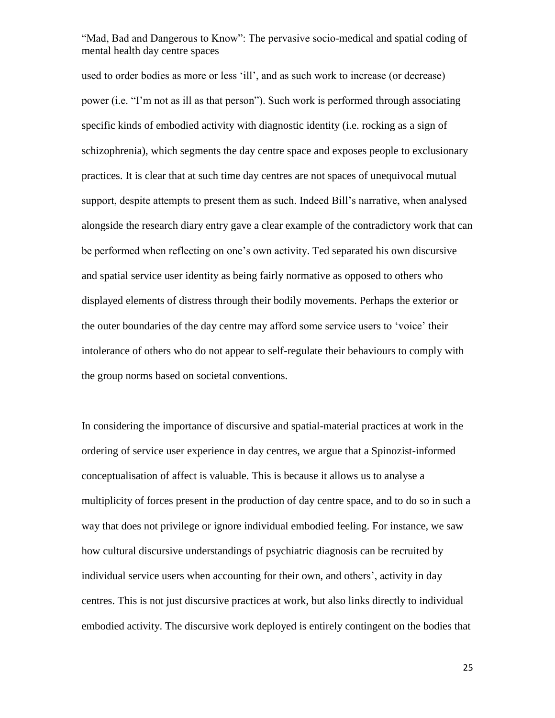used to order bodies as more or less 'ill', and as such work to increase (or decrease) power (i.e. "I'm not as ill as that person"). Such work is performed through associating specific kinds of embodied activity with diagnostic identity (i.e. rocking as a sign of schizophrenia), which segments the day centre space and exposes people to exclusionary practices. It is clear that at such time day centres are not spaces of unequivocal mutual support, despite attempts to present them as such. Indeed Bill's narrative, when analysed alongside the research diary entry gave a clear example of the contradictory work that can be performed when reflecting on one's own activity. Ted separated his own discursive and spatial service user identity as being fairly normative as opposed to others who displayed elements of distress through their bodily movements. Perhaps the exterior or the outer boundaries of the day centre may afford some service users to 'voice' their intolerance of others who do not appear to self-regulate their behaviours to comply with the group norms based on societal conventions.

In considering the importance of discursive and spatial-material practices at work in the ordering of service user experience in day centres, we argue that a Spinozist-informed conceptualisation of affect is valuable. This is because it allows us to analyse a multiplicity of forces present in the production of day centre space, and to do so in such a way that does not privilege or ignore individual embodied feeling. For instance, we saw how cultural discursive understandings of psychiatric diagnosis can be recruited by individual service users when accounting for their own, and others', activity in day centres. This is not just discursive practices at work, but also links directly to individual embodied activity. The discursive work deployed is entirely contingent on the bodies that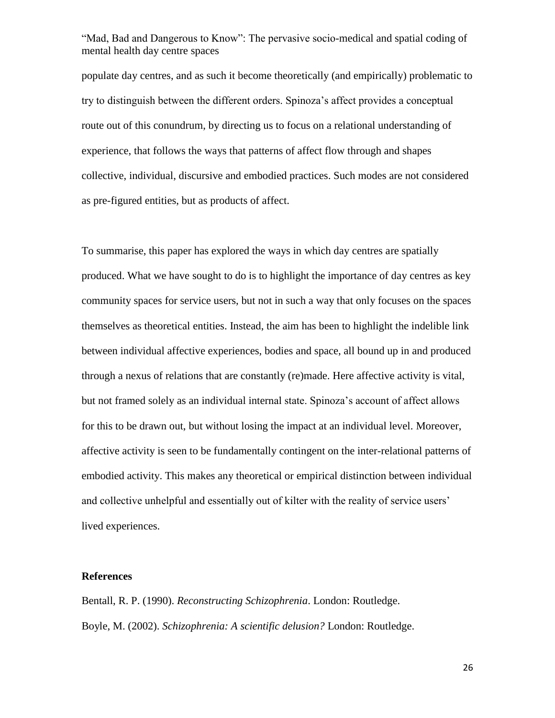populate day centres, and as such it become theoretically (and empirically) problematic to try to distinguish between the different orders. Spinoza's affect provides a conceptual route out of this conundrum, by directing us to focus on a relational understanding of experience, that follows the ways that patterns of affect flow through and shapes collective, individual, discursive and embodied practices. Such modes are not considered as pre-figured entities, but as products of affect.

To summarise, this paper has explored the ways in which day centres are spatially produced. What we have sought to do is to highlight the importance of day centres as key community spaces for service users, but not in such a way that only focuses on the spaces themselves as theoretical entities. Instead, the aim has been to highlight the indelible link between individual affective experiences, bodies and space, all bound up in and produced through a nexus of relations that are constantly (re)made. Here affective activity is vital, but not framed solely as an individual internal state. Spinoza's account of affect allows for this to be drawn out, but without losing the impact at an individual level. Moreover, affective activity is seen to be fundamentally contingent on the inter-relational patterns of embodied activity. This makes any theoretical or empirical distinction between individual and collective unhelpful and essentially out of kilter with the reality of service users' lived experiences.

#### **References**

Bentall, R. P. (1990). *Reconstructing Schizophrenia*. London: Routledge. Boyle, M. (2002). *Schizophrenia: A scientific delusion?* London: Routledge.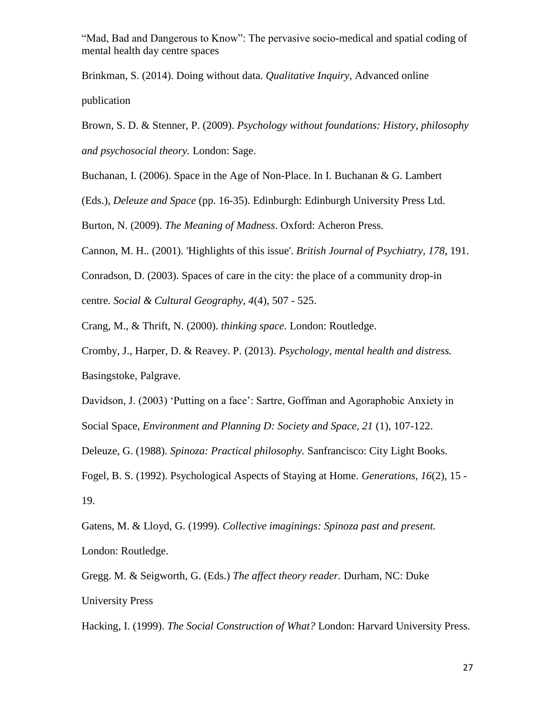Brinkman, S. (2014). Doing without data. *Qualitative Inquiry,* Advanced online publication

Brown, S. D. & Stenner, P. (2009). *Psychology without foundations: History, philosophy and psychosocial theory.* London: Sage.

Buchanan, I. (2006). Space in the Age of Non-Place. In I. Buchanan & G. Lambert

(Eds.), *Deleuze and Space* (pp. 16-35). Edinburgh: Edinburgh University Press Ltd.

Burton, N. (2009). *The Meaning of Madness*. Oxford: Acheron Press.

Cannon, M. H.. (2001). 'Highlights of this issue'. *British Journal of Psychiatry, 178*, 191.

Conradson, D. (2003). Spaces of care in the city: the place of a community drop-in centre. *Social & Cultural Geography, 4*(4), 507 - 525.

Crang, M., & Thrift, N. (2000). *thinking space*. London: Routledge.

Cromby, J., Harper, D. & Reavey. P. (2013). *Psychology, mental health and distress.*  Basingstoke, Palgrave.

Davidson, J. (2003) 'Putting on a face': Sartre, Goffman and Agoraphobic Anxiety in Social Space, *Environment and Planning D: Society and Space, 21* (1), 107-122.

Deleuze, G. (1988). *Spinoza: Practical philosophy.* Sanfrancisco: City Light Books.

Fogel, B. S. (1992). Psychological Aspects of Staying at Home. *Generations, 16*(2), 15 - 19.

Gatens, M. & Lloyd, G. (1999). *Collective imaginings: Spinoza past and present.*  London: Routledge.

Gregg. M. & Seigworth, G. (Eds.) *The affect theory reader.* Durham, NC: Duke University Press

Hacking, I. (1999). *The Social Construction of What?* London: Harvard University Press.